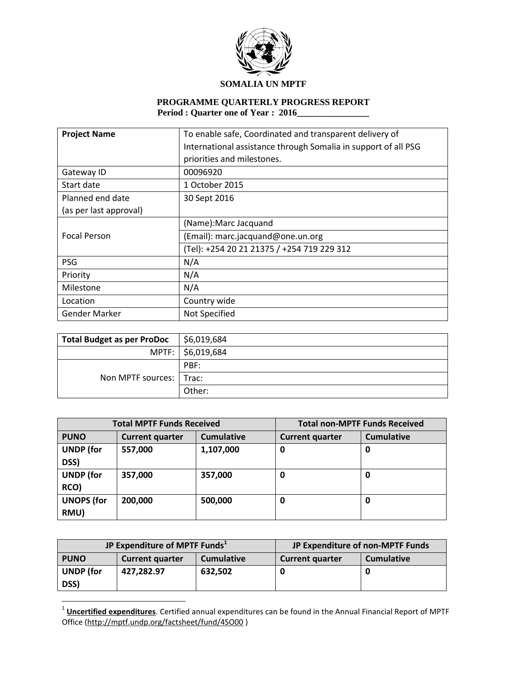

## **PROGRAMME QUARTERLY PROGRESS REPORT Period : Quarter one of Year : 2016\_\_\_\_\_\_\_\_\_\_\_\_\_\_\_\_**

| <b>Project Name</b>    | To enable safe, Coordinated and transparent delivery of        |
|------------------------|----------------------------------------------------------------|
|                        | International assistance through Somalia in support of all PSG |
|                        | priorities and milestones.                                     |
| Gateway ID             | 00096920                                                       |
| Start date             | 1 October 2015                                                 |
| Planned end date       | 30 Sept 2016                                                   |
| (as per last approval) |                                                                |
|                        | (Name): Marc Jacquand                                          |
| <b>Focal Person</b>    | (Email): marc.jacquand@one.un.org                              |
|                        | (Tel): +254 20 21 21375 / +254 719 229 312                     |
| <b>PSG</b>             | N/A                                                            |
| Priority               | N/A                                                            |
| Milestone              | N/A                                                            |
| Location               | Country wide                                                   |
| Gender Marker          | Not Specified                                                  |

| <b>Total Budget as per ProDoc</b> | \$6,019,684       |
|-----------------------------------|-------------------|
|                                   | MPTF: \$6,019,684 |
|                                   | PBF:              |
| Non MPTF sources:   Trac:         |                   |
|                                   | Other:            |

| <b>Total MPTF Funds Received</b> |                        | <b>Total non-MPTF Funds Received</b> |                        |                   |
|----------------------------------|------------------------|--------------------------------------|------------------------|-------------------|
| <b>PUNO</b>                      | <b>Current quarter</b> | <b>Cumulative</b>                    | <b>Current quarter</b> | <b>Cumulative</b> |
| <b>UNDP</b> (for                 | 557,000                | 1,107,000                            | 0                      | 0                 |
| DSS)                             |                        |                                      |                        |                   |
| <b>UNDP</b> (for                 | 357,000                | 357,000                              | O                      | 0                 |
| RCO)                             |                        |                                      |                        |                   |
| <b>UNOPS (for</b>                | 200,000                | 500,000                              | 0                      | 0                 |
| RMU)                             |                        |                                      |                        |                   |

| JP Expenditure of MPTF Funds <sup>1</sup> |                        | JP Expenditure of non-MPTF Funds |                        |                   |
|-------------------------------------------|------------------------|----------------------------------|------------------------|-------------------|
| <b>PUNO</b>                               | <b>Current quarter</b> | <b>Cumulative</b>                | <b>Current quarter</b> | <b>Cumulative</b> |
| <b>UNDP</b> (for<br>DSS)                  | 427.282.97             | 632,502                          |                        |                   |

 1 **Uncertified expenditures**. Certified annual expenditures can be found in the Annual Financial Report of MPTF Office [\(http://mptf.undp.org/factsheet/fund/4SO00](http://mptf.undp.org/factsheet/fund/4SO00) )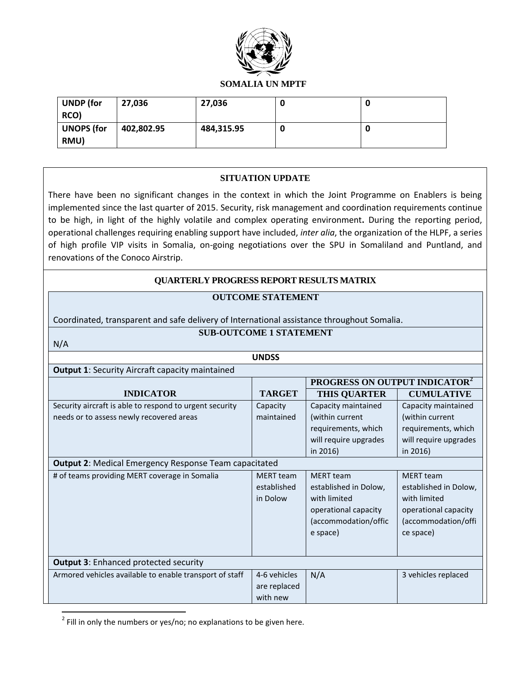

| UNDP (for<br>RCO)         | 27,036     | 27,036     |  |
|---------------------------|------------|------------|--|
| <b>UNOPS</b> (for<br>RMU) | 402,802.95 | 484,315.95 |  |

## **SITUATION UPDATE**

There have been no significant changes in the context in which the Joint Programme on Enablers is being implemented since the last quarter of 2015. Security, risk management and coordination requirements continue to be high, in light of the highly volatile and complex operating environment**.** During the reporting period, operational challenges requiring enabling support have included, *inter alia*, the organization of the HLPF, a series of high profile VIP visits in Somalia, on-going negotiations over the SPU in Somaliland and Puntland, and renovations of the Conoco Airstrip.

## **QUARTERLY PROGRESS REPORT RESULTS MATRIX**

## **OUTCOME STATEMENT**

Coordinated, transparent and safe delivery of International assistance throughout Somalia.

## **SUB-OUTCOME 1 STATEMENT**

**UNDSS**

**PROGRESS ON OUTPUT INDICATOR<sup>2</sup>**

|--|--|

 $\overline{\phantom{a}}$ 

| <b>Output 1: Security Aircraft capacity maintained</b>                                                        |               |  |  |
|---------------------------------------------------------------------------------------------------------------|---------------|--|--|
|                                                                                                               |               |  |  |
| <b>INDICATOR</b>                                                                                              | <b>TARGET</b> |  |  |
| Professional continuation of the contract of the contract of the contract of the constants of the contract of |               |  |  |

| <b>INDICATOR</b>                                             | <b>TARGET</b>    | <b>THIS QUARTER</b>   | <b>CUMULATIVE</b>     |
|--------------------------------------------------------------|------------------|-----------------------|-----------------------|
| Security aircraft is able to respond to urgent security      | Capacity         | Capacity maintained   | Capacity maintained   |
| needs or to assess newly recovered areas                     | maintained       | (within current       | (within current       |
|                                                              |                  | requirements, which   | requirements, which   |
|                                                              |                  | will require upgrades | will require upgrades |
|                                                              |                  | in 2016)              | in $2016$ )           |
| <b>Output 2: Medical Emergency Response Team capacitated</b> |                  |                       |                       |
| # of teams providing MERT coverage in Somalia                | <b>MERT</b> team | <b>MERT</b> team      | <b>MERT</b> team      |
|                                                              | established      | established in Dolow, | established in Dolow, |
|                                                              | in Dolow         | with limited          | with limited          |
|                                                              |                  | operational capacity  | operational capacity  |
|                                                              |                  | (accommodation/offic  | (accommodation/offi   |
|                                                              |                  | e space)              | ce space)             |
|                                                              |                  |                       |                       |
| <b>Output 3: Enhanced protected security</b>                 |                  |                       |                       |
| Armored vehicles available to enable transport of staff      | 4-6 vehicles     | N/A                   | 3 vehicles replaced   |
|                                                              | are replaced     |                       |                       |
|                                                              | with new         |                       |                       |

 $^{2}$  Fill in only the numbers or yes/no; no explanations to be given here.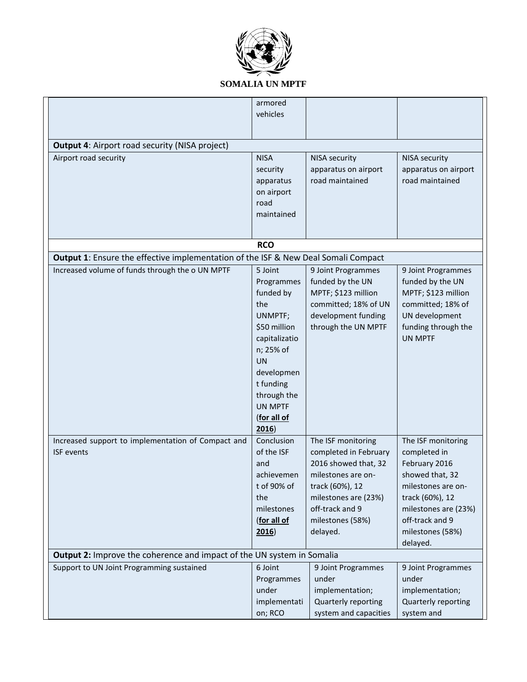

|                                                                                           | armored        |                       |                      |
|-------------------------------------------------------------------------------------------|----------------|-----------------------|----------------------|
|                                                                                           | vehicles       |                       |                      |
|                                                                                           |                |                       |                      |
|                                                                                           |                |                       |                      |
| <b>Output 4: Airport road security (NISA project)</b>                                     |                |                       |                      |
| Airport road security                                                                     | <b>NISA</b>    | <b>NISA security</b>  | <b>NISA security</b> |
|                                                                                           | security       | apparatus on airport  | apparatus on airport |
|                                                                                           |                |                       |                      |
|                                                                                           | apparatus      | road maintained       | road maintained      |
|                                                                                           | on airport     |                       |                      |
|                                                                                           | road           |                       |                      |
|                                                                                           | maintained     |                       |                      |
|                                                                                           |                |                       |                      |
|                                                                                           |                |                       |                      |
|                                                                                           | <b>RCO</b>     |                       |                      |
| <b>Output 1:</b> Ensure the effective implementation of the ISF & New Deal Somali Compact |                |                       |                      |
| Increased volume of funds through the o UN MPTF                                           | 5 Joint        | 9 Joint Programmes    | 9 Joint Programmes   |
|                                                                                           | Programmes     | funded by the UN      | funded by the UN     |
|                                                                                           | funded by      | MPTF; \$123 million   | MPTF; \$123 million  |
|                                                                                           | the            | committed; 18% of UN  | committed; 18% of    |
|                                                                                           |                | development funding   |                      |
|                                                                                           | UNMPTF;        |                       | UN development       |
|                                                                                           | \$50 million   | through the UN MPTF   | funding through the  |
|                                                                                           | capitalizatio  |                       | <b>UN MPTF</b>       |
|                                                                                           | n; 25% of      |                       |                      |
|                                                                                           | <b>UN</b>      |                       |                      |
|                                                                                           | developmen     |                       |                      |
|                                                                                           | t funding      |                       |                      |
|                                                                                           | through the    |                       |                      |
|                                                                                           | <b>UN MPTF</b> |                       |                      |
|                                                                                           |                |                       |                      |
|                                                                                           | (for all of    |                       |                      |
|                                                                                           | 2016           |                       |                      |
| Increased support to implementation of Compact and                                        | Conclusion     | The ISF monitoring    | The ISF monitoring   |
| <b>ISF</b> events                                                                         | of the ISF     | completed in February | completed in         |
|                                                                                           | and            | 2016 showed that, 32  | February 2016        |
|                                                                                           | achievemen     | milestones are on-    | showed that, 32      |
|                                                                                           | t of 90% of    | track (60%), 12       | milestones are on-   |
|                                                                                           | the            | milestones are (23%)  | track (60%), 12      |
|                                                                                           |                |                       |                      |
|                                                                                           | milestones     | off-track and 9       | milestones are (23%) |
|                                                                                           | (for all of    | milestones (58%)      | off-track and 9      |
|                                                                                           | 2016)          | delayed.              | milestones (58%)     |
|                                                                                           |                |                       | delayed.             |
| <b>Output 2:</b> Improve the coherence and impact of the UN system in Somalia             |                |                       |                      |
| Support to UN Joint Programming sustained                                                 | 6 Joint        | 9 Joint Programmes    | 9 Joint Programmes   |
|                                                                                           | Programmes     | under                 | under                |
|                                                                                           | under          | implementation;       |                      |
|                                                                                           |                |                       | implementation;      |
|                                                                                           | implementati   | Quarterly reporting   | Quarterly reporting  |
|                                                                                           | on; RCO        | system and capacities | system and           |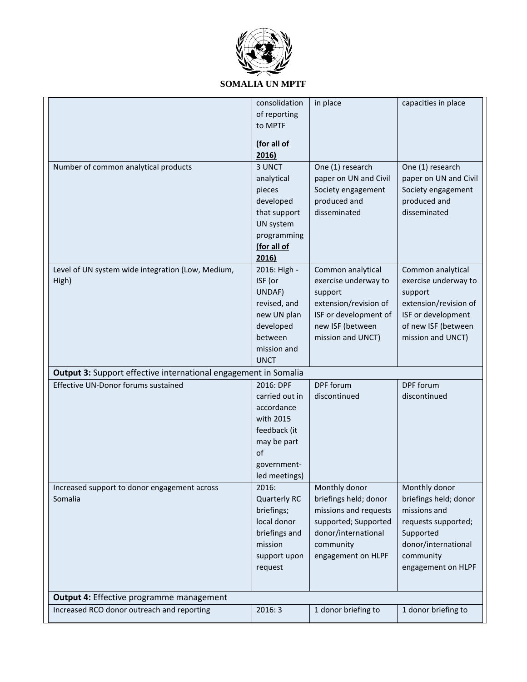

|                                                                 | consolidation       | in place              | capacities in place   |
|-----------------------------------------------------------------|---------------------|-----------------------|-----------------------|
|                                                                 | of reporting        |                       |                       |
|                                                                 | to MPTF             |                       |                       |
|                                                                 |                     |                       |                       |
|                                                                 | (for all of         |                       |                       |
|                                                                 | 2016)               |                       |                       |
| Number of common analytical products                            | 3 UNCT              | One (1) research      | One (1) research      |
|                                                                 | analytical          | paper on UN and Civil | paper on UN and Civil |
|                                                                 | pieces              | Society engagement    | Society engagement    |
|                                                                 | developed           | produced and          | produced and          |
|                                                                 | that support        | disseminated          | disseminated          |
|                                                                 | UN system           |                       |                       |
|                                                                 | programming         |                       |                       |
|                                                                 | (for all of         |                       |                       |
|                                                                 | 2016)               |                       |                       |
| Level of UN system wide integration (Low, Medium,               | 2016: High -        | Common analytical     | Common analytical     |
| High)                                                           | ISF (or             | exercise underway to  | exercise underway to  |
|                                                                 | UNDAF)              | support               | support               |
|                                                                 | revised, and        | extension/revision of | extension/revision of |
|                                                                 | new UN plan         | ISF or development of | ISF or development    |
|                                                                 | developed           | new ISF (between      | of new ISF (between   |
|                                                                 | between             | mission and UNCT)     | mission and UNCT)     |
|                                                                 | mission and         |                       |                       |
|                                                                 | <b>UNCT</b>         |                       |                       |
| Output 3: Support effective international engagement in Somalia |                     |                       |                       |
| Effective UN-Donor forums sustained                             | 2016: DPF           | DPF forum             | DPF forum             |
|                                                                 | carried out in      | discontinued          | discontinued          |
|                                                                 | accordance          |                       |                       |
|                                                                 | with 2015           |                       |                       |
|                                                                 |                     |                       |                       |
|                                                                 | feedback (it        |                       |                       |
|                                                                 | may be part<br>of   |                       |                       |
|                                                                 |                     |                       |                       |
|                                                                 | government-         |                       |                       |
|                                                                 | led meetings)       |                       |                       |
| Increased support to donor engagement across                    | 2016:               | Monthly donor         | Monthly donor         |
| Somalia                                                         | <b>Quarterly RC</b> | briefings held; donor | briefings held; donor |
|                                                                 | briefings;          | missions and requests | missions and          |
|                                                                 | local donor         | supported; Supported  | requests supported;   |
|                                                                 | briefings and       | donor/international   | Supported             |
|                                                                 | mission             | community             | donor/international   |
|                                                                 | support upon        | engagement on HLPF    | community             |
|                                                                 | request             |                       | engagement on HLPF    |
|                                                                 |                     |                       |                       |
| Output 4: Effective programme management                        |                     |                       |                       |
| Increased RCO donor outreach and reporting                      | 2016:3              | 1 donor briefing to   | 1 donor briefing to   |
|                                                                 |                     |                       |                       |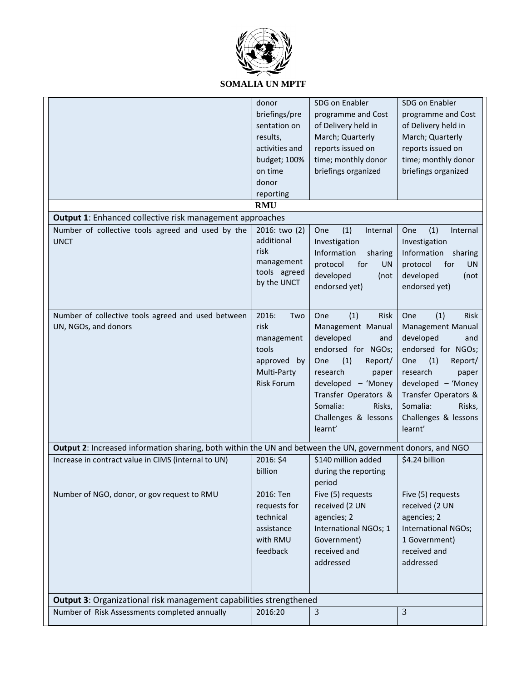

|                                                                                                            | donor                            | SDG on Enabler               | SDG on Enabler               |
|------------------------------------------------------------------------------------------------------------|----------------------------------|------------------------------|------------------------------|
|                                                                                                            | briefings/pre                    | programme and Cost           | programme and Cost           |
|                                                                                                            | sentation on                     | of Delivery held in          | of Delivery held in          |
|                                                                                                            | results,                         | March; Quarterly             | March; Quarterly             |
|                                                                                                            | activities and                   | reports issued on            | reports issued on            |
|                                                                                                            | budget; 100%                     | time; monthly donor          | time; monthly donor          |
|                                                                                                            | on time                          | briefings organized          | briefings organized          |
|                                                                                                            | donor                            |                              |                              |
|                                                                                                            | reporting                        |                              |                              |
|                                                                                                            | <b>RMU</b>                       |                              |                              |
|                                                                                                            |                                  |                              |                              |
| <b>Output 1:</b> Enhanced collective risk management approaches                                            |                                  |                              |                              |
| Number of collective tools agreed and used by the                                                          | 2016: two (2)                    | (1)<br>One<br>Internal       | (1)<br>One<br>Internal       |
| <b>UNCT</b>                                                                                                | additional                       | Investigation                | Investigation                |
|                                                                                                            | risk                             | Information<br>sharing       | Information<br>sharing       |
|                                                                                                            | management<br>tools agreed       | for<br>protocol<br><b>UN</b> | protocol<br>for<br><b>UN</b> |
|                                                                                                            | by the UNCT                      | developed<br>(not            | developed<br>(not            |
|                                                                                                            |                                  | endorsed yet)                | endorsed yet)                |
|                                                                                                            |                                  |                              |                              |
| Number of collective tools agreed and used between                                                         | 2016:<br>Two                     | (1)<br>Risk<br>One           | One<br>(1)<br>Risk           |
| UN, NGOs, and donors                                                                                       | risk                             | Management Manual            | Management Manual            |
|                                                                                                            | management                       | developed<br>and             | developed<br>and             |
|                                                                                                            | tools                            | endorsed for NGOs;           | endorsed for NGOs;           |
|                                                                                                            | approved<br>by                   | One<br>(1)<br>Report/        | One<br>(1)<br>Report/        |
|                                                                                                            |                                  | research                     | research                     |
|                                                                                                            | Multi-Party<br><b>Risk Forum</b> | paper                        | paper                        |
|                                                                                                            |                                  | developed - 'Money           | developed - 'Money           |
|                                                                                                            |                                  | Transfer Operators &         | Transfer Operators &         |
|                                                                                                            |                                  | Somalia:<br>Risks,           | Somalia:<br>Risks,           |
|                                                                                                            |                                  | Challenges & lessons         | Challenges & lessons         |
|                                                                                                            |                                  | learnt'                      | learnt'                      |
| Output 2: Increased information sharing, both within the UN and between the UN, government donors, and NGO |                                  |                              |                              |
| Increase in contract value in CIMS (internal to UN)                                                        | 2016: \$4                        | \$140 million added          | \$4.24 billion               |
|                                                                                                            | billion                          | during the reporting         |                              |
|                                                                                                            |                                  | period                       |                              |
| Number of NGO, donor, or gov request to RMU                                                                | 2016: Ten                        | Five (5) requests            | Five (5) requests            |
|                                                                                                            | requests for                     | received (2 UN               | received (2 UN               |
|                                                                                                            | technical                        | agencies; 2                  | agencies; 2                  |
|                                                                                                            | assistance                       | International NGOs; 1        | International NGOs;          |
|                                                                                                            | with RMU                         |                              |                              |
|                                                                                                            |                                  | Government)                  | 1 Government)                |
|                                                                                                            | feedback                         | received and                 | received and                 |
|                                                                                                            |                                  | addressed                    | addressed                    |
|                                                                                                            |                                  |                              |                              |
|                                                                                                            |                                  |                              |                              |
| Output 3: Organizational risk management capabilities strengthened                                         |                                  |                              |                              |
| Number of Risk Assessments completed annually                                                              | 2016:20                          | 3                            | 3                            |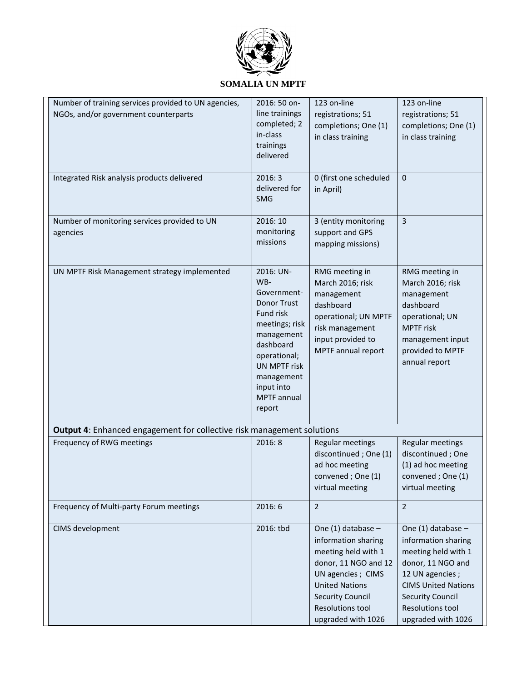

| Number of training services provided to UN agencies,<br>NGOs, and/or government counterparts | 2016: 50 on-<br>line trainings<br>completed; 2<br>in-class<br>trainings<br>delivered                                                                                                          | 123 on-line<br>registrations; 51<br>completions; One (1)<br>in class training                                                                                                                                  | 123 on-line<br>registrations; 51<br>completions; One (1)<br>in class training                                                                                                                               |
|----------------------------------------------------------------------------------------------|-----------------------------------------------------------------------------------------------------------------------------------------------------------------------------------------------|----------------------------------------------------------------------------------------------------------------------------------------------------------------------------------------------------------------|-------------------------------------------------------------------------------------------------------------------------------------------------------------------------------------------------------------|
| Integrated Risk analysis products delivered                                                  | 2016:3<br>delivered for<br><b>SMG</b>                                                                                                                                                         | 0 (first one scheduled<br>in April)                                                                                                                                                                            | 0                                                                                                                                                                                                           |
| Number of monitoring services provided to UN<br>agencies                                     | 2016: 10<br>monitoring<br>missions                                                                                                                                                            | 3 (entity monitoring<br>support and GPS<br>mapping missions)                                                                                                                                                   | $\overline{3}$                                                                                                                                                                                              |
| UN MPTF Risk Management strategy implemented                                                 | 2016: UN-<br>WB-<br>Government-<br>Donor Trust<br>Fund risk<br>meetings; risk<br>management<br>dashboard<br>operational;<br>UN MPTF risk<br>management<br>input into<br>MPTF annual<br>report | RMG meeting in<br>March 2016; risk<br>management<br>dashboard<br>operational; UN MPTF<br>risk management<br>input provided to<br>MPTF annual report                                                            | RMG meeting in<br>March 2016; risk<br>management<br>dashboard<br>operational; UN<br><b>MPTF</b> risk<br>management input<br>provided to MPTF<br>annual report                                               |
| Output 4: Enhanced engagement for collective risk management solutions                       |                                                                                                                                                                                               |                                                                                                                                                                                                                |                                                                                                                                                                                                             |
| Frequency of RWG meetings                                                                    | 2016:8                                                                                                                                                                                        | Regular meetings<br>discontinued; One (1)<br>ad hoc meeting<br>convened; One (1)<br>virtual meeting                                                                                                            | Regular meetings<br>discontinued; One<br>(1) ad hoc meeting<br>convened; One (1)<br>virtual meeting                                                                                                         |
| Frequency of Multi-party Forum meetings                                                      | 2016:6                                                                                                                                                                                        | $\overline{2}$                                                                                                                                                                                                 | $\overline{2}$                                                                                                                                                                                              |
| CIMS development                                                                             | 2016: tbd                                                                                                                                                                                     | One $(1)$ database -<br>information sharing<br>meeting held with 1<br>donor, 11 NGO and 12<br>UN agencies ; CIMS<br><b>United Nations</b><br><b>Security Council</b><br>Resolutions tool<br>upgraded with 1026 | One (1) database -<br>information sharing<br>meeting held with 1<br>donor, 11 NGO and<br>12 UN agencies;<br><b>CIMS United Nations</b><br><b>Security Council</b><br>Resolutions tool<br>upgraded with 1026 |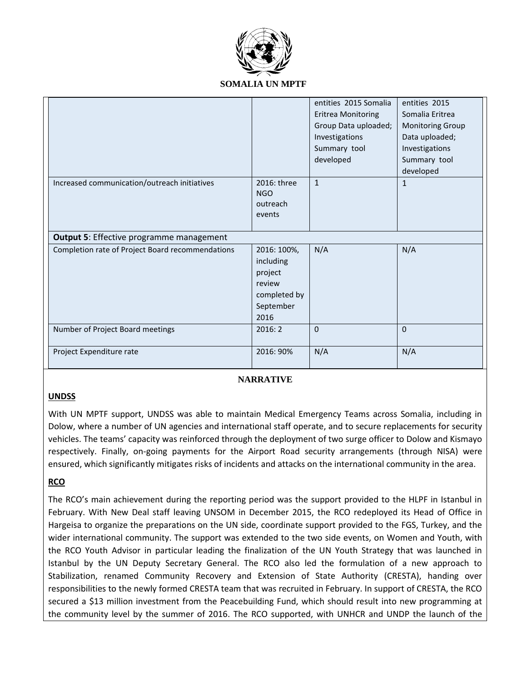

|                                                  |                                                                                    | entities 2015 Somalia<br><b>Eritrea Monitoring</b><br>Group Data uploaded;<br>Investigations<br>Summary tool<br>developed | entities 2015<br>Somalia Eritrea<br><b>Monitoring Group</b><br>Data uploaded;<br>Investigations<br>Summary tool<br>developed |
|--------------------------------------------------|------------------------------------------------------------------------------------|---------------------------------------------------------------------------------------------------------------------------|------------------------------------------------------------------------------------------------------------------------------|
| Increased communication/outreach initiatives     | 2016: three<br><b>NGO</b><br>outreach<br>events                                    | $\mathbf{1}$                                                                                                              | $\mathbf{1}$                                                                                                                 |
| <b>Output 5: Effective programme management</b>  |                                                                                    |                                                                                                                           |                                                                                                                              |
| Completion rate of Project Board recommendations | 2016: 100%,<br>including<br>project<br>review<br>completed by<br>September<br>2016 | N/A                                                                                                                       | N/A                                                                                                                          |
| Number of Project Board meetings                 | 2016:2                                                                             | $\mathbf 0$                                                                                                               | $\Omega$                                                                                                                     |
| Project Expenditure rate                         | 2016: 90%                                                                          | N/A                                                                                                                       | N/A                                                                                                                          |

## **NARRATIVE**

## **UNDSS**

With UN MPTF support, UNDSS was able to maintain Medical Emergency Teams across Somalia, including in Dolow, where a number of UN agencies and international staff operate, and to secure replacements for security vehicles. The teams' capacity was reinforced through the deployment of two surge officer to Dolow and Kismayo respectively. Finally, on-going payments for the Airport Road security arrangements (through NISA) were ensured, which significantly mitigates risks of incidents and attacks on the international community in the area.

## **RCO**

The RCO's main achievement during the reporting period was the support provided to the HLPF in Istanbul in February. With New Deal staff leaving UNSOM in December 2015, the RCO redeployed its Head of Office in Hargeisa to organize the preparations on the UN side, coordinate support provided to the FGS, Turkey, and the wider international community. The support was extended to the two side events, on Women and Youth, with the RCO Youth Advisor in particular leading the finalization of the UN Youth Strategy that was launched in Istanbul by the UN Deputy Secretary General. The RCO also led the formulation of a new approach to Stabilization, renamed Community Recovery and Extension of State Authority (CRESTA), handing over responsibilities to the newly formed CRESTA team that was recruited in February. In support of CRESTA, the RCO secured a \$13 million investment from the Peacebuilding Fund, which should result into new programming at the community level by the summer of 2016. The RCO supported, with UNHCR and UNDP the launch of the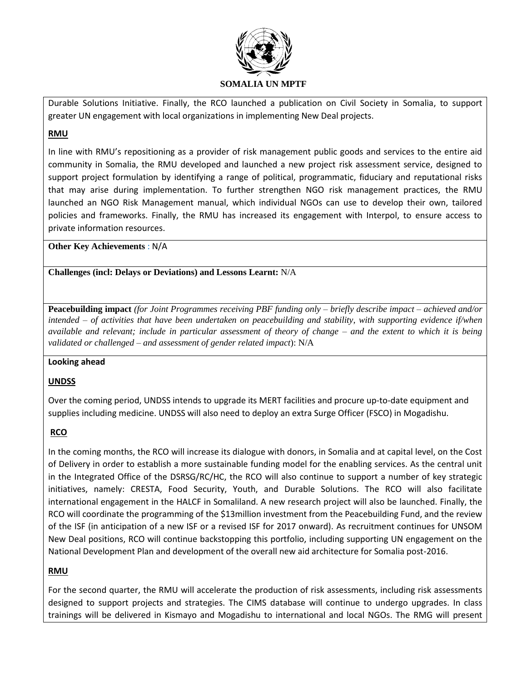

Durable Solutions Initiative. Finally, the RCO launched a publication on Civil Society in Somalia, to support greater UN engagement with local organizations in implementing New Deal projects.

## **RMU**

In line with RMU's repositioning as a provider of risk management public goods and services to the entire aid community in Somalia, the RMU developed and launched a new project risk assessment service, designed to support project formulation by identifying a range of political, programmatic, fiduciary and reputational risks that may arise during implementation. To further strengthen NGO risk management practices, the RMU launched an NGO Risk Management manual, which individual NGOs can use to develop their own, tailored policies and frameworks. Finally, the RMU has increased its engagement with Interpol, to ensure access to private information resources.

**Other Key Achievements** : N/A

**Challenges (incl: Delays or Deviations) and Lessons Learnt:** N/A

**Peacebuilding impact** *(for Joint Programmes receiving PBF funding only – briefly describe impact – achieved and/or intended – of activities that have been undertaken on peacebuilding and stability, with supporting evidence if/when available and relevant; include in particular assessment of theory of change – and the extent to which it is being validated or challenged – and assessment of gender related impact*): N/A

## **Looking ahead**

## **UNDSS**

Over the coming period, UNDSS intends to upgrade its MERT facilities and procure up-to-date equipment and supplies including medicine. UNDSS will also need to deploy an extra Surge Officer (FSCO) in Mogadishu.

## **RCO**

In the coming months, the RCO will increase its dialogue with donors, in Somalia and at capital level, on the Cost of Delivery in order to establish a more sustainable funding model for the enabling services. As the central unit in the Integrated Office of the DSRSG/RC/HC, the RCO will also continue to support a number of key strategic initiatives, namely: CRESTA, Food Security, Youth, and Durable Solutions. The RCO will also facilitate international engagement in the HALCF in Somaliland. A new research project will also be launched. Finally, the RCO will coordinate the programming of the \$13million investment from the Peacebuilding Fund, and the review of the ISF (in anticipation of a new ISF or a revised ISF for 2017 onward). As recruitment continues for UNSOM New Deal positions, RCO will continue backstopping this portfolio, including supporting UN engagement on the National Development Plan and development of the overall new aid architecture for Somalia post-2016.

## **RMU**

For the second quarter, the RMU will accelerate the production of risk assessments, including risk assessments designed to support projects and strategies. The CIMS database will continue to undergo upgrades. In class trainings will be delivered in Kismayo and Mogadishu to international and local NGOs. The RMG will present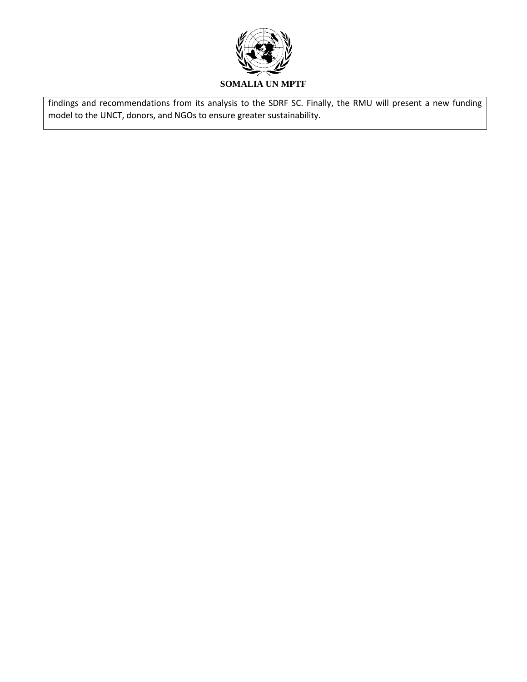

findings and recommendations from its analysis to the SDRF SC. Finally, the RMU will present a new funding model to the UNCT, donors, and NGOs to ensure greater sustainability.